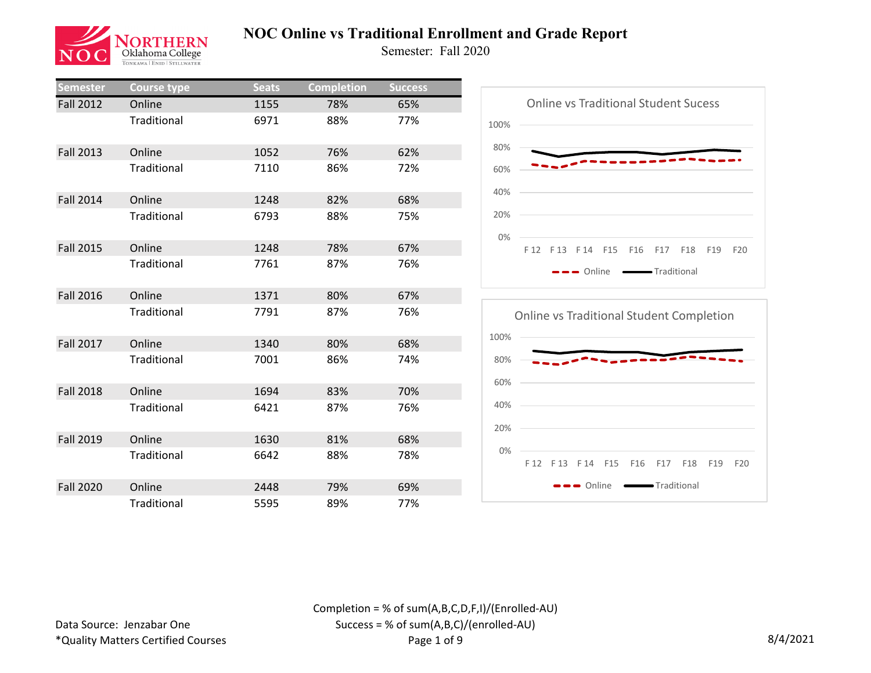

Semester: Fall 2020

| Semester         | <b>Course type</b> | <b>Seats</b> | <b>Completion</b> | <b>Success</b> |
|------------------|--------------------|--------------|-------------------|----------------|
| <b>Fall 2012</b> | Online             | 1155         | 78%               | 65%            |
|                  | <b>Traditional</b> | 6971         | 88%               | 77%            |
| <b>Fall 2013</b> | Online             | 1052         | 76%               | 62%            |
|                  | Traditional        | 7110         | 86%               | 72%            |
| <b>Fall 2014</b> | Online             | 1248         | 82%               | 68%            |
|                  | Traditional        | 6793         | 88%               | 75%            |
| <b>Fall 2015</b> | Online             | 1248         | 78%               | 67%            |
|                  | Traditional        | 7761         | 87%               | 76%            |
| <b>Fall 2016</b> | Online             | 1371         | 80%               | 67%            |
|                  | Traditional        | 7791         | 87%               | 76%            |
| <b>Fall 2017</b> | Online             | 1340         | 80%               | 68%            |
|                  | <b>Traditional</b> | 7001         | 86%               | 74%            |
| <b>Fall 2018</b> | Online             | 1694         | 83%               | 70%            |
|                  | <b>Traditional</b> | 6421         | 87%               | 76%            |
| <b>Fall 2019</b> | Online             | 1630         | 81%               | 68%            |
|                  | Traditional        | 6642         | 88%               | 78%            |
| <b>Fall 2020</b> | Online             | 2448         | 79%               | 69%            |
|                  | Traditional        | 5595         | 89%               | 77%            |



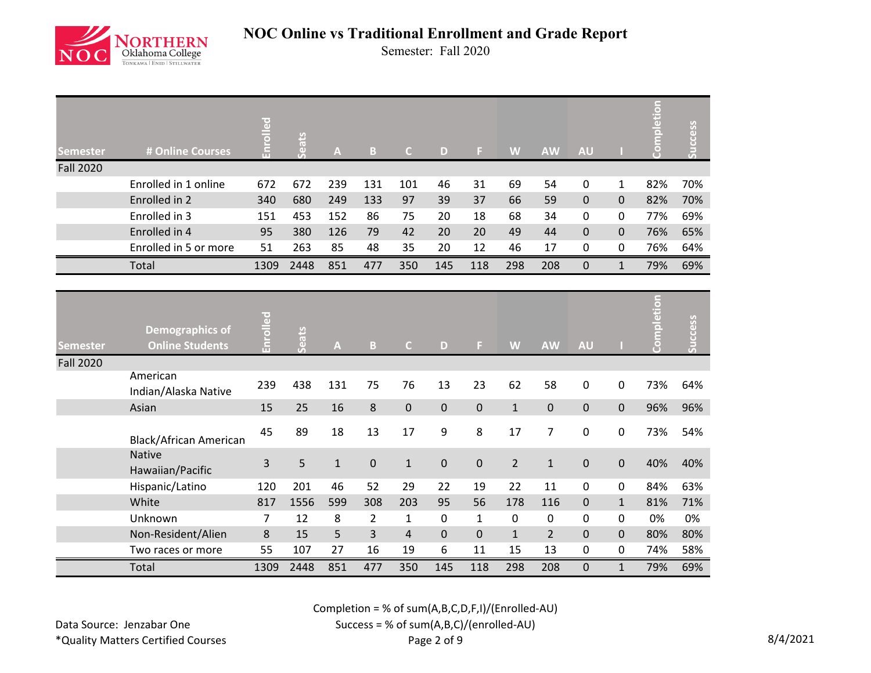

Semester: Fall 2020

| <b>Semester</b>  | # Online Courses                          | Enrolled | Seats | $\boldsymbol{\mathsf{A}}$ | $\mathbf{B}$   | $\mathsf{C}$   | D         | F.           | W              | <b>AW</b>      | <b>AU</b>   |              | Completion | Success |
|------------------|-------------------------------------------|----------|-------|---------------------------|----------------|----------------|-----------|--------------|----------------|----------------|-------------|--------------|------------|---------|
| <b>Fall 2020</b> |                                           |          |       |                           |                |                |           |              |                |                |             |              |            |         |
|                  | Enrolled in 1 online                      | 672      | 672   | 239                       | 131            | 101            | 46        | 31           | 69             | 54             | $\mathbf 0$ | 1            | 82%        | 70%     |
|                  | Enrolled in 2                             | 340      | 680   | 249                       | 133            | 97             | 39        | 37           | 66             | 59             | $\mathbf 0$ | $\mathbf 0$  | 82%        | 70%     |
|                  | Enrolled in 3                             | 151      | 453   | 152                       | 86             | 75             | 20        | 18           | 68             | 34             | 0           | 0            | 77%        | 69%     |
|                  | Enrolled in 4                             | 95       | 380   | 126                       | 79             | 42             | 20        | 20           | 49             | 44             | $\mathbf 0$ | $\mathbf 0$  | 76%        | 65%     |
|                  | Enrolled in 5 or more                     | 51       | 263   | 85                        | 48             | 35             | 20        | 12           | 46             | 17             | 0           | 0            | 76%        | 64%     |
|                  | Total                                     | 1309     | 2448  | 851                       | 477            | 350            | 145       | 118          | 298            | 208            | $\mathbf 0$ | $\mathbf{1}$ | 79%        | 69%     |
|                  |                                           |          |       |                           |                |                |           |              |                |                |             |              |            |         |
| <b>Semester</b>  | Demographics of<br><b>Online Students</b> | Enrolled | Seats | $\overline{\mathsf{A}}$   | B              | $\mathsf{C}$   | D         | F.           | W              | <b>AW</b>      | <b>AU</b>   |              | etion<br>ā | Success |
| <b>Fall 2020</b> |                                           |          |       |                           |                |                |           |              |                |                |             |              |            |         |
|                  | American<br>Indian/Alaska Native          | 239      | 438   | 131                       | 75             | 76             | 13        | 23           | 62             | 58             | $\mathbf 0$ | $\mathbf 0$  | 73%        | 64%     |
|                  | Asian                                     | 15       | 25    | 16                        | 8              | $\pmb{0}$      | $\pmb{0}$ | $\pmb{0}$    | $\mathbf{1}$   | $\mathbf 0$    | $\mathbf 0$ | $\mathbf 0$  | 96%        | 96%     |
|                  | <b>Black/African American</b>             | 45       | 89    | 18                        | 13             | 17             | 9         | 8            | 17             | $\overline{7}$ | 0           | 0            | 73%        | 54%     |
|                  | <b>Native</b><br>Hawaiian/Pacific         | 3        | 5     | $\mathbf{1}$              | $\pmb{0}$      | $\mathbf{1}$   | 0         | $\pmb{0}$    | $\overline{2}$ | $\mathbf{1}$   | 0           | $\mathbf 0$  | 40%        | 40%     |
|                  | Hispanic/Latino                           | 120      | 201   | 46                        | 52             | 29             | 22        | 19           | 22             | 11             | $\mathbf 0$ | 0            | 84%        | 63%     |
|                  | White                                     | 817      | 1556  | 599                       | 308            | 203            | 95        | 56           | 178            | 116            | $\pmb{0}$   | $\mathbf{1}$ | 81%        | 71%     |
|                  | Unknown                                   | 7        | 12    | 8                         | $\overline{2}$ | $\mathbf{1}$   | $\pmb{0}$ | $\mathbf{1}$ | 0              | $\pmb{0}$      | 0           | 0            | 0%         | 0%      |
|                  | Non-Resident/Alien                        | 8        | 15    | 5                         | 3              | $\overline{4}$ | $\pmb{0}$ | $\mathbf 0$  | $\mathbf{1}$   | $\overline{2}$ | $\mathbf 0$ | $\mathbf 0$  | 80%        | 80%     |
|                  | Two races or more                         | 55       | 107   | 27                        | 16             | 19             | 6         | 11           | 15             | 13             | 0           | 0            | 74%        | 58%     |
|                  | Total                                     | 1309     | 2448  | 851                       | 477            | 350            | 145       | 118          | 298            | 208            | $\mathbf 0$ | $\mathbf{1}$ | 79%        | 69%     |

Completion = % of sum(A,B,C,D,F,I)/(Enrolled-AU)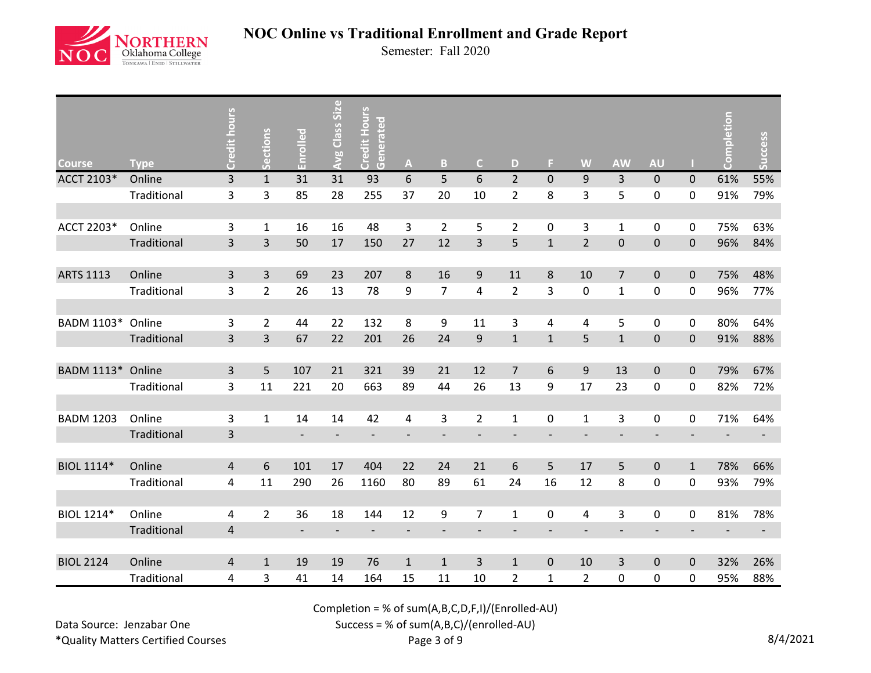

Semester: Fall 2020

| <b>Course</b>     | <b>Type</b> | Credit hours            | Sections       | Enrolled                 | Avg Class Size           | <b>Credit Hours</b><br>Generated | $\mathbf{A}$                 | B                        | $\mathsf{C}$   | D              | F.                       | W                        | <b>AW</b>                | <b>AU</b>                |                | npletion | Success |
|-------------------|-------------|-------------------------|----------------|--------------------------|--------------------------|----------------------------------|------------------------------|--------------------------|----------------|----------------|--------------------------|--------------------------|--------------------------|--------------------------|----------------|----------|---------|
| ACCT 2103*        | Online      | $\overline{3}$          | $\mathbf{1}$   | 31                       | 31                       | 93                               | 6                            | 5                        | 6              | $\overline{2}$ | $\mathbf{0}$             | 9                        | $\overline{3}$           | $\pmb{0}$                | $\mathbf 0$    | 61%      | 55%     |
|                   | Traditional | 3                       | 3              | 85                       | 28                       | 255                              | 37                           | 20                       | 10             | $\overline{2}$ | 8                        | 3                        | 5                        | 0                        | 0              | 91%      | 79%     |
|                   |             |                         |                |                          |                          |                                  |                              |                          |                |                |                          |                          |                          |                          |                |          |         |
| ACCT 2203*        | Online      | 3                       | $\mathbf{1}$   | 16                       | 16                       | 48                               | 3                            | $\overline{2}$           | 5              | $\overline{2}$ | 0                        | 3                        | $\mathbf{1}$             | 0                        | 0              | 75%      | 63%     |
|                   | Traditional | $\overline{3}$          | $\overline{3}$ | 50                       | 17                       | 150                              | 27                           | 12                       | $\overline{3}$ | 5              | $\mathbf{1}$             | $\overline{2}$           | $\pmb{0}$                | $\pmb{0}$                | 0              | 96%      | 84%     |
|                   |             |                         |                |                          |                          |                                  |                              |                          |                |                |                          |                          |                          |                          |                |          |         |
| <b>ARTS 1113</b>  | Online      | 3                       | $\overline{3}$ | 69                       | 23                       | 207                              | $\,8\,$                      | 16                       | 9              | 11             | 8                        | 10                       | $\overline{7}$           | $\pmb{0}$                | 0              | 75%      | 48%     |
|                   | Traditional | 3                       | $\overline{2}$ | 26                       | 13                       | 78                               | 9                            | $\overline{7}$           | 4              | $\overline{2}$ | 3                        | $\pmb{0}$                | $\mathbf 1$              | 0                        | 0              | 96%      | 77%     |
|                   |             |                         |                |                          |                          |                                  |                              |                          |                |                |                          |                          |                          |                          |                |          |         |
| BADM 1103*        | Online      | 3                       | $\overline{2}$ | 44                       | 22                       | 132                              | 8                            | 9                        | 11             | 3              | 4                        | 4                        | 5                        | 0                        | 0              | 80%      | 64%     |
|                   | Traditional | $\overline{3}$          | $\overline{3}$ | 67                       | 22                       | 201                              | 26                           | 24                       | $\mathsf g$    | $\mathbf{1}$   | $\mathbf{1}$             | 5                        | $\mathbf{1}$             | $\pmb{0}$                | $\overline{0}$ | 91%      | 88%     |
|                   |             |                         |                |                          |                          |                                  |                              |                          |                |                |                          |                          |                          |                          |                |          |         |
| BADM 1113*        | Online      | 3                       | 5              | 107                      | 21                       | 321                              | 39                           | 21                       | 12             | $\overline{7}$ | 6                        | 9                        | 13                       | $\pmb{0}$                | $\mathbf 0$    | 79%      | 67%     |
|                   | Traditional | 3                       | 11             | 221                      | 20                       | 663                              | 89                           | 44                       | 26             | 13             | 9                        | 17                       | 23                       | 0                        | 0              | 82%      | 72%     |
|                   |             |                         |                |                          |                          |                                  |                              |                          |                |                |                          |                          |                          |                          |                |          |         |
| <b>BADM 1203</b>  | Online      | 3                       | $\mathbf{1}$   | 14                       | 14                       | 42                               | 4                            | 3                        | $\overline{2}$ | $\mathbf{1}$   | 0                        | $\mathbf{1}$             | 3                        | 0                        | 0              | 71%      | 64%     |
|                   | Traditional | $\mathsf{3}$            |                | $\overline{\phantom{a}}$ | $\overline{\phantom{a}}$ | $\overline{\phantom{a}}$         | $\qquad \qquad \blacksquare$ | $\overline{\phantom{a}}$ | $\overline{a}$ | $\overline{a}$ | $\overline{\phantom{0}}$ | $\overline{\phantom{a}}$ | $\overline{\phantom{a}}$ | $\overline{\phantom{a}}$ |                |          |         |
|                   |             |                         |                |                          |                          |                                  |                              |                          |                |                |                          |                          |                          |                          |                |          |         |
| <b>BIOL 1114*</b> | Online      | 4                       | 6              | 101                      | 17                       | 404                              | 22                           | 24                       | 21             | 6              | 5                        | 17                       | 5                        | $\pmb{0}$                | $\mathbf{1}$   | 78%      | 66%     |
|                   | Traditional | 4                       | 11             | 290                      | 26                       | 1160                             | 80                           | 89                       | 61             | 24             | 16                       | 12                       | 8                        | 0                        | 0              | 93%      | 79%     |
|                   |             |                         |                |                          |                          |                                  |                              |                          |                |                |                          |                          |                          |                          |                |          |         |
| BIOL 1214*        | Online      | 4                       | $\overline{2}$ | 36                       | 18                       | 144                              | 12                           | 9                        | 7              | 1              | 0                        | 4                        | 3                        | 0                        | 0              | 81%      | 78%     |
|                   | Traditional | $\overline{\mathbf{4}}$ |                |                          |                          |                                  |                              |                          |                |                |                          |                          |                          |                          |                |          |         |
|                   |             |                         |                |                          |                          |                                  |                              |                          |                |                |                          |                          |                          |                          |                |          |         |
| <b>BIOL 2124</b>  | Online      | 4                       | $\mathbf{1}$   | 19                       | 19                       | 76                               | $\mathbf{1}$                 | $\mathbf{1}$             | 3              | $\mathbf{1}$   | $\mathbf 0$              | 10                       | 3                        | $\pmb{0}$                | 0              | 32%      | 26%     |
|                   | Traditional | 4                       | 3              | 41                       | 14                       | 164                              | 15                           | 11                       | 10             | 2              | 1                        | $\overline{2}$           | 0                        | 0                        | 0              | 95%      | 88%     |

Completion = % of sum(A,B,C,D,F,I)/(Enrolled-AU)

Data Source: Jenzabar One \*Quality Matters Certified Courses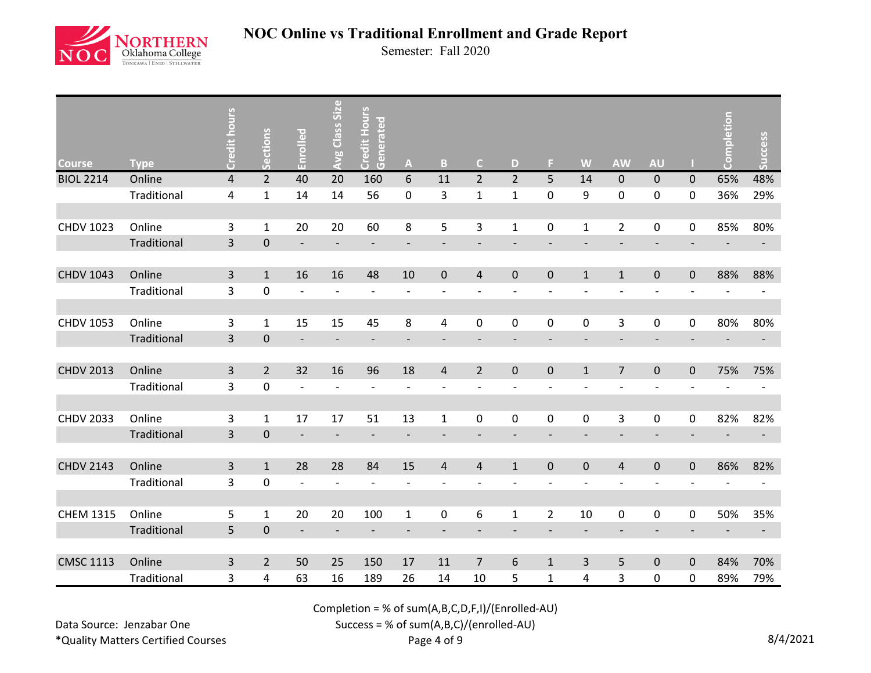

Semester: Fall 2020

| <b>Course</b>    | <b>Type</b> | Credit hours            | ections<br>丙   | Enrolled                 | Avg Class Size           | <b>Credit Hours</b><br>Generated | A                            | B                        | $\mathsf{C}$   | D              | Е              | W                | <b>AW</b>                | <b>AU</b>                    |             | npletion | Success                  |
|------------------|-------------|-------------------------|----------------|--------------------------|--------------------------|----------------------------------|------------------------------|--------------------------|----------------|----------------|----------------|------------------|--------------------------|------------------------------|-------------|----------|--------------------------|
| <b>BIOL 2214</b> | Online      | $\overline{\mathbf{4}}$ | $\overline{2}$ | 40                       | 20                       | 160                              | 6                            | 11                       | $\overline{2}$ | $\overline{2}$ | 5 <sup>5</sup> | 14               | $\mathbf 0$              | $\pmb{0}$                    | $\mathbf 0$ | 65%      | 48%                      |
|                  | Traditional | 4                       | $\mathbf 1$    | 14                       | 14                       | 56                               | 0                            | 3                        | $\mathbf 1$    | $\mathbf{1}$   | $\pmb{0}$      | 9                | $\pmb{0}$                | $\pmb{0}$                    | 0           | 36%      | 29%                      |
|                  |             |                         |                |                          |                          |                                  |                              |                          |                |                |                |                  |                          |                              |             |          |                          |
| <b>CHDV 1023</b> | Online      | 3                       | $\mathbf 1$    | 20                       | 20                       | 60                               | 8                            | 5                        | 3              | $\mathbf{1}$   | $\pmb{0}$      | $\mathbf 1$      | $\overline{2}$           | $\pmb{0}$                    | 0           | 85%      | 80%                      |
|                  | Traditional | $\overline{\mathbf{3}}$ | $\pmb{0}$      | $\overline{\phantom{a}}$ |                          | $\overline{\phantom{a}}$         | $\overline{\phantom{a}}$     | $\overline{\phantom{a}}$ |                |                |                |                  | $\overline{\phantom{a}}$ | $\overline{\phantom{a}}$     |             |          |                          |
|                  |             |                         |                |                          |                          |                                  |                              |                          |                |                |                |                  |                          |                              |             |          |                          |
| <b>CHDV 1043</b> | Online      | 3                       | $\mathbf{1}$   | 16                       | 16                       | 48                               | 10                           | $\pmb{0}$                | 4              | 0              | $\pmb{0}$      | $\mathbf{1}$     | $\mathbf{1}$             | $\pmb{0}$                    | $\pmb{0}$   | 88%      | 88%                      |
|                  | Traditional | 3                       | $\pmb{0}$      | $\overline{a}$           | $\overline{\phantom{a}}$ | $\overline{a}$                   | $\overline{\phantom{a}}$     | $\overline{\phantom{a}}$ |                |                |                |                  | $\overline{\phantom{a}}$ | $\qquad \qquad \blacksquare$ |             |          |                          |
|                  |             |                         |                |                          |                          |                                  |                              |                          |                |                |                |                  |                          |                              |             |          |                          |
| <b>CHDV 1053</b> | Online      | 3                       | $\mathbf{1}$   | 15                       | 15                       | 45                               | 8                            | 4                        | $\pmb{0}$      | 0              | $\pmb{0}$      | $\pmb{0}$        | 3                        | 0                            | 0           | 80%      | 80%                      |
|                  | Traditional | 3                       | $\pmb{0}$      | $\overline{a}$           | $\overline{\phantom{a}}$ | $\overline{\phantom{0}}$         | $\overline{\phantom{a}}$     |                          |                |                |                |                  | $\overline{\phantom{a}}$ | $\qquad \qquad -$            |             |          | $\overline{\phantom{a}}$ |
|                  |             |                         |                |                          |                          |                                  |                              |                          |                |                |                |                  |                          |                              |             |          |                          |
| <b>CHDV 2013</b> | Online      | 3                       | $\overline{2}$ | 32                       | 16                       | 96                               | 18                           | $\overline{4}$           | $\overline{2}$ | 0              | $\pmb{0}$      | $1\,$            | $\overline{7}$           | $\pmb{0}$                    | $\pmb{0}$   | 75%      | 75%                      |
|                  | Traditional | 3                       | $\pmb{0}$      | $\overline{a}$           |                          | $\overline{a}$                   | $\overline{\phantom{a}}$     |                          |                |                |                |                  | $\overline{a}$           | $\overline{\phantom{0}}$     |             |          |                          |
|                  |             |                         |                |                          |                          |                                  |                              |                          |                |                |                |                  |                          |                              |             |          |                          |
| <b>CHDV 2033</b> | Online      | 3                       | $\mathbf{1}$   | 17                       | 17                       | 51                               | 13                           | $\mathbf 1$              | $\pmb{0}$      | $\pmb{0}$      | $\pmb{0}$      | $\boldsymbol{0}$ | 3                        | $\pmb{0}$                    | 0           | 82%      | 82%                      |
|                  | Traditional | 3                       | $\pmb{0}$      | $\overline{a}$           |                          |                                  | $\qquad \qquad \blacksquare$ |                          |                |                |                |                  |                          | $\qquad \qquad \blacksquare$ |             |          |                          |
|                  |             |                         |                |                          |                          |                                  |                              |                          |                |                |                |                  |                          |                              |             |          |                          |
| <b>CHDV 2143</b> | Online      | 3                       | $\mathbf{1}$   | 28                       | 28                       | 84                               | 15                           | $\overline{4}$           | $\overline{4}$ | $\mathbf{1}$   | $\mathbf 0$    | $\pmb{0}$        | $\overline{4}$           | $\pmb{0}$                    | $\pmb{0}$   | 86%      | 82%                      |
|                  | Traditional | 3                       | $\pmb{0}$      | $\overline{a}$           |                          | $\overline{a}$                   | $\overline{a}$               |                          |                |                |                |                  |                          | $\overline{\phantom{0}}$     |             |          |                          |
|                  |             |                         |                |                          |                          |                                  |                              |                          |                |                |                |                  |                          |                              |             |          |                          |
| <b>CHEM 1315</b> | Online      | 5                       | $\mathbf{1}$   | 20                       | 20                       | 100                              | $\mathbf{1}$                 | 0                        | 6              | $\mathbf{1}$   | $\overline{2}$ | $10\,$           | $\pmb{0}$                | 0                            | 0           | 50%      | 35%                      |
|                  | Traditional | 5                       | $\mathbf 0$    |                          |                          |                                  |                              |                          |                |                |                |                  |                          |                              |             |          |                          |
|                  |             |                         |                |                          |                          |                                  |                              |                          |                |                |                |                  |                          |                              |             |          |                          |
| <b>CMSC 1113</b> | Online      | 3                       | $\overline{2}$ | 50                       | 25                       | 150                              | $17\,$                       | 11                       | $\overline{7}$ | 6              | $\mathbf{1}$   | 3                | 5                        | $\pmb{0}$                    | $\pmb{0}$   | 84%      | 70%                      |
|                  | Traditional | 3                       | 4              | 63                       | 16                       | 189                              | 26                           | 14                       | 10             | 5              | $\mathbf{1}$   | 4                | 3                        | 0                            | 0           | 89%      | 79%                      |

Completion = % of sum(A,B,C,D,F,I)/(Enrolled-AU)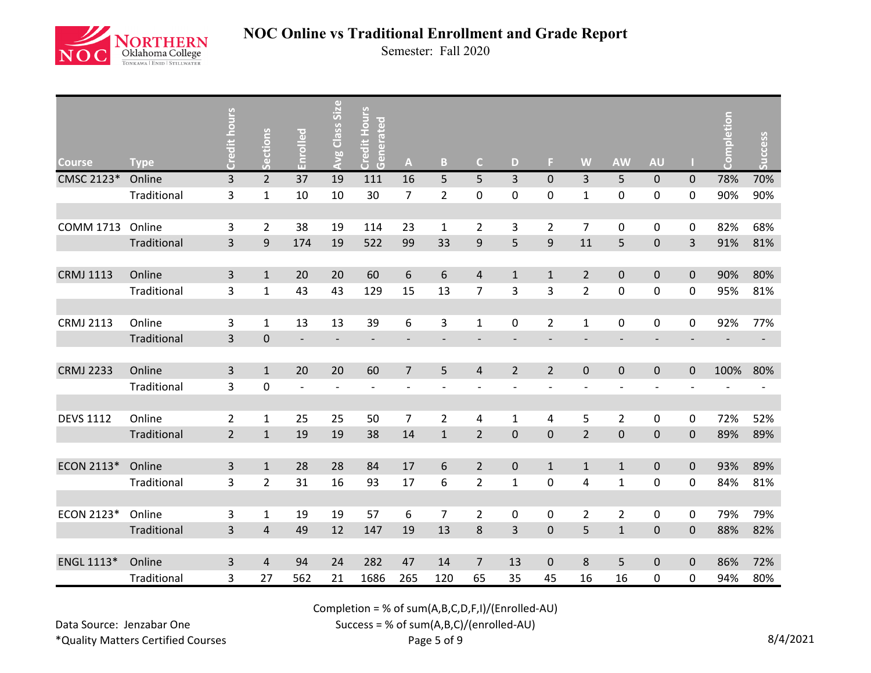

Semester: Fall 2020

| <b>Course</b>    | <b>Type</b> | Credit hours   | Sections         | Enrolled                 | <b>Avg Class Size</b>    | <b>Credit Hours</b><br>Generated | $\mathbf{A}$             | $\, {\bf B} \,$          | $\mathsf{C}$   | D                        | F.             | W              | <b>AW</b>                | <b>AU</b>                |             | npletion<br>දි | Success                  |
|------------------|-------------|----------------|------------------|--------------------------|--------------------------|----------------------------------|--------------------------|--------------------------|----------------|--------------------------|----------------|----------------|--------------------------|--------------------------|-------------|----------------|--------------------------|
| CMSC 2123*       | Online      | $\overline{3}$ | $\overline{2}$   | 37                       | 19                       | 111                              | 16                       | 5                        | 5              | 3                        | $\mathbf{0}$   | 3              | 5                        | $\mathbf 0$              | $\mathbf 0$ | 78%            | 70%                      |
|                  | Traditional | 3              | $\mathbf{1}$     | 10                       | 10                       | 30                               | $\overline{7}$           | $\overline{2}$           | 0              | 0                        | $\mathbf 0$    | $\mathbf 1$    | $\pmb{0}$                | 0                        | 0           | 90%            | 90%                      |
|                  |             |                |                  |                          |                          |                                  |                          |                          |                |                          |                |                |                          |                          |             |                |                          |
| <b>COMM 1713</b> | Online      | 3              | $\overline{2}$   | 38                       | 19                       | 114                              | 23                       | $\mathbf{1}$             | $\overline{2}$ | 3                        | $\overline{2}$ | $\overline{7}$ | $\pmb{0}$                | 0                        | $\pmb{0}$   | 82%            | 68%                      |
|                  | Traditional | 3              | $\boldsymbol{9}$ | 174                      | 19                       | 522                              | 99                       | 33                       | $\mathsf 9$    | 5                        | 9              | 11             | 5                        | $\pmb{0}$                | 3           | 91%            | 81%                      |
|                  |             |                |                  |                          |                          |                                  |                          |                          |                |                          |                |                |                          |                          |             |                |                          |
| <b>CRMJ 1113</b> | Online      | 3              | $\mathbf{1}$     | 20                       | 20                       | 60                               | 6                        | 6                        | $\sqrt{4}$     | $\mathbf{1}$             | $\mathbf{1}$   | $\overline{2}$ | $\mathbf 0$              | $\pmb{0}$                | $\mathbf 0$ | 90%            | 80%                      |
|                  | Traditional | 3              | $\mathbf 1$      | 43                       | 43                       | 129                              | 15                       | 13                       | $\overline{7}$ | 3                        | 3              | $\overline{2}$ | $\pmb{0}$                | 0                        | 0           | 95%            | 81%                      |
|                  |             |                |                  |                          |                          |                                  |                          |                          |                |                          |                |                |                          |                          |             |                |                          |
| <b>CRMJ 2113</b> | Online      | 3              | $\mathbf{1}$     | 13                       | 13                       | 39                               | 6                        | 3                        | $\mathbf{1}$   | 0                        | $\overline{2}$ | $\mathbf{1}$   | $\pmb{0}$                | 0                        | 0           | 92%            | 77%                      |
|                  | Traditional | 3              | $\mathbf 0$      | $\overline{\phantom{a}}$ | $\overline{\phantom{a}}$ | $\overline{\phantom{a}}$         | $\overline{\phantom{a}}$ | $\overline{\phantom{a}}$ |                | $\overline{\phantom{a}}$ |                |                | $\overline{\phantom{a}}$ | $\overline{\phantom{a}}$ |             |                | $\overline{\phantom{a}}$ |
|                  |             |                |                  |                          |                          |                                  |                          |                          |                |                          |                |                |                          |                          |             |                |                          |
| <b>CRMJ 2233</b> | Online      | 3              | $\mathbf{1}$     | 20                       | 20                       | 60                               | $\overline{7}$           | 5                        | $\overline{4}$ | $\overline{2}$           | $\overline{2}$ | $\pmb{0}$      | $\pmb{0}$                | $\pmb{0}$                | $\mathbf 0$ | 100%           | 80%                      |
|                  | Traditional | 3              | $\pmb{0}$        | $\overline{a}$           |                          | $\overline{\phantom{a}}$         | $\overline{\phantom{a}}$ |                          |                |                          |                | $\overline{a}$ | $\overline{\phantom{a}}$ | $\overline{a}$           |             |                |                          |
|                  |             |                |                  |                          |                          |                                  |                          |                          |                |                          |                |                |                          |                          |             |                |                          |
| <b>DEVS 1112</b> | Online      | $\overline{2}$ | $\mathbf{1}$     | 25                       | 25                       | 50                               | $\overline{7}$           | $\overline{2}$           | $\pmb{4}$      | $\mathbf{1}$             | 4              | 5              | $\overline{2}$           | 0                        | 0           | 72%            | 52%                      |
|                  | Traditional | $\overline{2}$ | $\mathbf 1$      | 19                       | 19                       | 38                               | 14                       | $\mathbf 1$              | $\overline{2}$ | $\mathbf 0$              | $\pmb{0}$      | $\overline{2}$ | $\pmb{0}$                | $\pmb{0}$                | $\pmb{0}$   | 89%            | 89%                      |
|                  |             |                |                  |                          |                          |                                  |                          |                          |                |                          |                |                |                          |                          |             |                |                          |
| ECON 2113*       | Online      | 3              | $\mathbf{1}$     | 28                       | 28                       | 84                               | 17                       | $\boldsymbol{6}$         | $\overline{2}$ | $\mathbf 0$              | $\mathbf{1}$   | $\mathbf{1}$   | $\mathbf{1}$             | $\pmb{0}$                | $\mathbf 0$ | 93%            | 89%                      |
|                  | Traditional | 3              | $\overline{2}$   | 31                       | 16                       | 93                               | 17                       | 6                        | $\overline{2}$ | $\mathbf{1}$             | 0              | 4              | $\mathbf{1}$             | 0                        | $\mathbf 0$ | 84%            | 81%                      |
|                  |             |                |                  |                          |                          |                                  |                          |                          |                |                          |                |                |                          |                          |             |                |                          |
| ECON 2123*       | Online      | 3              | $\mathbf{1}$     | 19                       | 19                       | 57                               | 6                        | $\overline{7}$           | $\overline{2}$ | $\mathbf 0$              | 0              | $\overline{2}$ | $\overline{2}$           | 0                        | 0           | 79%            | 79%                      |
|                  | Traditional | 3              | 4                | 49                       | 12                       | 147                              | 19                       | 13                       | 8              | 3                        | $\mathbf 0$    | 5              | $\mathbf{1}$             | $\pmb{0}$                | 0           | 88%            | 82%                      |
|                  |             |                |                  |                          |                          |                                  |                          |                          |                |                          |                |                |                          |                          |             |                |                          |
| ENGL 1113*       | Online      | 3              | 4                | 94                       | 24                       | 282                              | 47                       | 14                       | $\overline{7}$ | 13                       | $\pmb{0}$      | 8              | 5                        | $\pmb{0}$                | $\mathbf 0$ | 86%            | 72%                      |
|                  | Traditional | 3              | 27               | 562                      | 21                       | 1686                             | 265                      | 120                      | 65             | 35                       | 45             | 16             | 16                       | 0                        | 0           | 94%            | 80%                      |

Completion = % of sum(A,B,C,D,F,I)/(Enrolled-AU)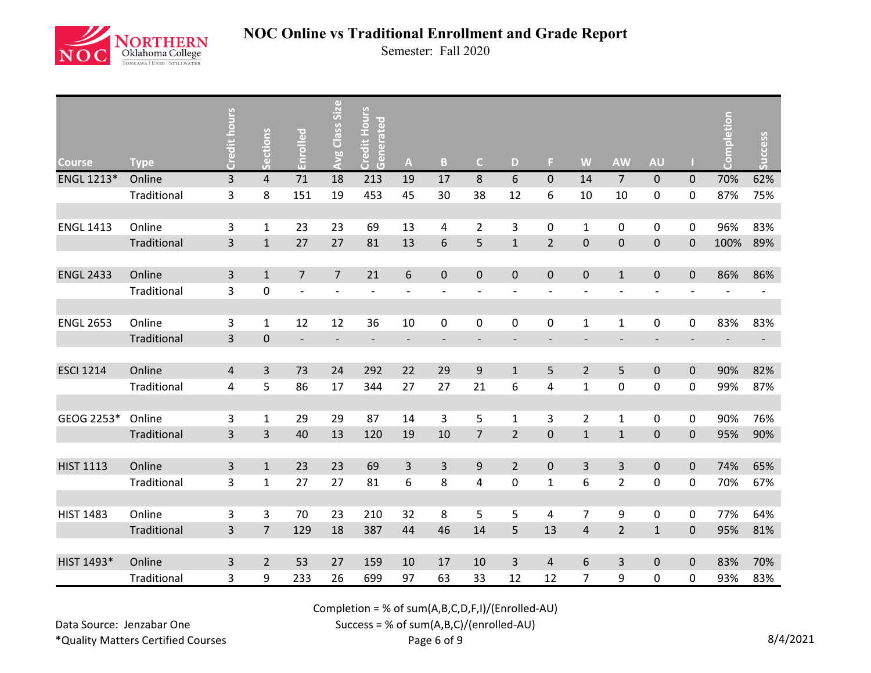

Semester: Fall 2020

| <b>Course</b>    | <b>Type</b> | Credit hours   | Sections       | Enrolled                 | Avg Class Size           | Credit Hours<br>Generated | $\mathbf{A}$             | $\mathbf{B}$             | $\mathsf{C}$             | D                        | F.                       | W                        | <b>AW</b>                | <b>AU</b>                |                          | Completion               | <b>Success</b>           |
|------------------|-------------|----------------|----------------|--------------------------|--------------------------|---------------------------|--------------------------|--------------------------|--------------------------|--------------------------|--------------------------|--------------------------|--------------------------|--------------------------|--------------------------|--------------------------|--------------------------|
| ENGL 1213*       | Online      | $\overline{3}$ | $\overline{4}$ | 71                       | 18                       | 213                       | 19                       | 17                       | $\,8\,$                  | 6                        | $\mathbf{0}$             | 14                       | $\overline{7}$           | $\pmb{0}$                | $\mathbf 0$              | 70%                      | 62%                      |
|                  | Traditional | 3              | 8              | 151                      | 19                       | 453                       | 45                       | 30                       | 38                       | 12                       | 6                        | 10                       | 10                       | 0                        | $\boldsymbol{0}$         | 87%                      | 75%                      |
|                  |             |                |                |                          |                          |                           |                          |                          |                          |                          |                          |                          |                          |                          |                          |                          |                          |
| <b>ENGL 1413</b> | Online      | 3              | $\mathbf{1}$   | 23                       | 23                       | 69                        | 13                       | 4                        | $\overline{2}$           | 3                        | 0                        | $\mathbf 1$              | 0                        | 0                        | 0                        | 96%                      | 83%                      |
|                  | Traditional | 3              | $1\,$          | 27                       | 27                       | 81                        | 13                       | $\sqrt{6}$               | 5                        | $\mathbf{1}$             | $\overline{2}$           | $\mathsf 0$              | $\pmb{0}$                | $\pmb{0}$                | $\mathbf 0$              | 100%                     | 89%                      |
|                  |             |                |                |                          |                          |                           |                          |                          |                          |                          |                          |                          |                          |                          |                          |                          |                          |
| <b>ENGL 2433</b> | Online      | 3              | $\mathbf 1$    | $\overline{7}$           | $\overline{7}$           | 21                        | 6                        | $\pmb{0}$                | $\pmb{0}$                | $\pmb{0}$                | $\pmb{0}$                | $\pmb{0}$                | $\mathbf{1}$             | $\pmb{0}$                | 0                        | 86%                      | 86%                      |
|                  | Traditional | 3              | $\pmb{0}$      | $\overline{\phantom{a}}$ | $\overline{\phantom{a}}$ | $\overline{\phantom{a}}$  | $\overline{\phantom{a}}$ | $\overline{\phantom{a}}$ | $\overline{a}$           | $\overline{a}$           | $\overline{a}$           | $\overline{\phantom{a}}$ | $\overline{\phantom{a}}$ | $\overline{a}$           |                          |                          | $\overline{\phantom{a}}$ |
|                  |             |                |                |                          |                          |                           |                          |                          |                          |                          |                          |                          |                          |                          |                          |                          |                          |
| <b>ENGL 2653</b> | Online      | 3              | $\mathbf{1}$   | 12                       | 12                       | 36                        | 10                       | 0                        | $\mathbf 0$              | 0                        | 0                        | 1                        | $\mathbf{1}$             | 0                        | 0                        | 83%                      | 83%                      |
|                  | Traditional | $\overline{3}$ | $\mathbf 0$    | $\overline{\phantom{a}}$ | $\overline{\phantom{a}}$ | $\overline{\phantom{a}}$  | $\overline{\phantom{a}}$ | $\overline{\phantom{a}}$ | $\overline{\phantom{a}}$ | $\overline{\phantom{a}}$ | $\overline{\phantom{0}}$ | $\overline{\phantom{a}}$ | $\overline{\phantom{a}}$ | $\overline{\phantom{a}}$ | $\overline{\phantom{a}}$ | $\overline{\phantom{a}}$ | $\overline{\phantom{a}}$ |
|                  |             |                |                |                          |                          |                           |                          |                          |                          |                          |                          |                          |                          |                          |                          |                          |                          |
| <b>ESCI 1214</b> | Online      | 4              | $\overline{3}$ | 73                       | 24                       | 292                       | 22                       | 29                       | 9                        | $\mathbf{1}$             | 5                        | $\overline{2}$           | 5                        | $\pmb{0}$                | $\mathbf 0$              | 90%                      | 82%                      |
|                  | Traditional | 4              | 5              | 86                       | 17                       | 344                       | 27                       | 27                       | 21                       | 6                        | 4                        | $\mathbf 1$              | $\pmb{0}$                | 0                        | 0                        | 99%                      | 87%                      |
|                  |             |                |                |                          |                          |                           |                          |                          |                          |                          |                          |                          |                          |                          |                          |                          |                          |
| GEOG 2253*       | Online      | 3              | $\mathbf{1}$   | 29                       | 29                       | 87                        | 14                       | $\overline{3}$           | 5                        | $\mathbf{1}$             | 3                        | $\overline{2}$           | $\mathbf{1}$             | 0                        | $\mathbf 0$              | 90%                      | 76%                      |
|                  | Traditional | 3              | 3              | 40                       | 13                       | 120                       | 19                       | 10                       | $\overline{7}$           | $\overline{2}$           | $\pmb{0}$                | $\mathbf 1$              | $\mathbf 1$              | $\pmb{0}$                | $\pmb{0}$                | 95%                      | 90%                      |
|                  |             |                |                |                          |                          |                           |                          |                          |                          |                          |                          |                          |                          |                          |                          |                          |                          |
| <b>HIST 1113</b> | Online      | 3              | $\mathbf{1}$   | 23                       | 23                       | 69                        | 3                        | 3                        | 9                        | $\overline{2}$           | $\mathbf 0$              | 3                        | $\overline{3}$           | $\pmb{0}$                | $\mathbf 0$              | 74%                      | 65%                      |
|                  | Traditional | 3              | $\mathbf{1}$   | 27                       | 27                       | 81                        | 6                        | 8                        | 4                        | 0                        | $\mathbf{1}$             | 6                        | $\overline{2}$           | 0                        | 0                        | 70%                      | 67%                      |
|                  |             |                |                |                          |                          |                           |                          |                          |                          |                          |                          |                          |                          |                          |                          |                          |                          |
| <b>HIST 1483</b> | Online      | 3              | 3              | 70                       | 23                       | 210                       | 32                       | 8                        | 5                        | 5                        | 4                        | 7                        | 9                        | 0                        | 0                        | 77%                      | 64%                      |
|                  | Traditional | 3              | $\overline{7}$ | 129                      | 18                       | 387                       | 44                       | 46                       | 14                       | 5                        | 13                       | $\overline{4}$           | $\overline{2}$           | $\mathbf 1$              | $\mathbf 0$              | 95%                      | 81%                      |
|                  |             |                |                |                          |                          |                           |                          |                          |                          |                          |                          |                          |                          |                          |                          |                          |                          |
| HIST 1493*       | Online      | 3              | $\overline{2}$ | 53                       | 27                       | 159                       | 10                       | 17                       | 10                       | 3                        | $\overline{4}$           | 6                        | $\mathsf{3}$             | $\pmb{0}$                | 0                        | 83%                      | 70%                      |
|                  | Traditional | 3              | 9              | 233                      | 26                       | 699                       | 97                       | 63                       | 33                       | 12                       | 12                       | 7                        | 9                        | 0                        | 0                        | 93%                      | 83%                      |

Completion = % of sum(A,B,C,D,F,I)/(Enrolled-AU)

Data Source: Jenzabar One \*Quality Matters Certified Courses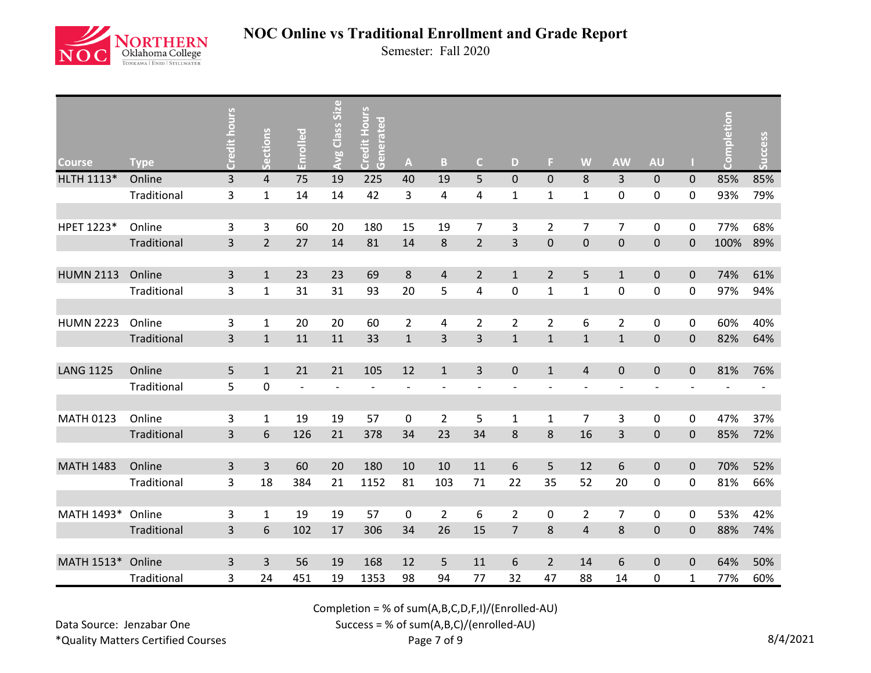

Semester: Fall 2020

| <b>Course</b>    | <b>Type</b> | Credit hours | Sections       | Enrolled                 | <b>Avg Class Size</b> | <b>Credit Hours</b><br>Generated | $\boldsymbol{\mathsf{A}}$ | $\mathbf{B}$   | $\mathsf{C}$   | D              | F.             | W                       | <b>AW</b>                | <b>AU</b>      |             | npletion<br>ပ္ပိ | Success |
|------------------|-------------|--------------|----------------|--------------------------|-----------------------|----------------------------------|---------------------------|----------------|----------------|----------------|----------------|-------------------------|--------------------------|----------------|-------------|------------------|---------|
| HLTH 1113*       | Online      | 3            | $\overline{4}$ | 75                       | 19                    | 225                              | 40                        | 19             | 5              | $\mathbf 0$    | $\mathbf 0$    | $\,8\,$                 | $\mathsf{3}$             | 0              | 0           | 85%              | 85%     |
|                  | Traditional | 3            | $\mathbf{1}$   | 14                       | 14                    | 42                               | 3                         | 4              | 4              | $\mathbf{1}$   | $\mathbf{1}$   | $\mathbf 1$             | 0                        | 0              | 0           | 93%              | 79%     |
|                  |             |              |                |                          |                       |                                  |                           |                |                |                |                |                         |                          |                |             |                  |         |
| HPET 1223*       | Online      | 3            | 3              | 60                       | 20                    | 180                              | 15                        | 19             | $\overline{7}$ | 3              | $\overline{2}$ | $\overline{7}$          | $\overline{7}$           | 0              | 0           | 77%              | 68%     |
|                  | Traditional | 3            | $\overline{2}$ | 27                       | 14                    | 81                               | 14                        | 8              | $\overline{2}$ | 3              | $\pmb{0}$      | $\pmb{0}$               | $\pmb{0}$                | $\pmb{0}$      | 0           | 100%             | 89%     |
|                  |             |              |                |                          |                       |                                  |                           |                |                |                |                |                         |                          |                |             |                  |         |
| <b>HUMN 2113</b> | Online      | 3            | $\mathbf{1}$   | 23                       | 23                    | 69                               | $\,8\,$                   | $\sqrt{4}$     | $\overline{2}$ | $\mathbf{1}$   | $\overline{2}$ | 5                       | $\mathbf{1}$             | $\pmb{0}$      | $\pmb{0}$   | 74%              | 61%     |
|                  | Traditional | 3            | $\mathbf{1}$   | 31                       | 31                    | 93                               | 20                        | 5              | 4              | $\mathbf 0$    | $\mathbf{1}$   | $\mathbf{1}$            | $\mathsf{O}\xspace$      | 0              | 0           | 97%              | 94%     |
|                  |             |              |                |                          |                       |                                  |                           |                |                |                |                |                         |                          |                |             |                  |         |
| <b>HUMN 2223</b> | Online      | 3            | 1              | 20                       | 20                    | 60                               | $\overline{2}$            | 4              | $\overline{2}$ | $\overline{2}$ | $\overline{2}$ | 6                       | $\overline{2}$           | 0              | 0           | 60%              | 40%     |
|                  | Traditional | 3            | $\mathbf{1}$   | 11                       | 11                    | 33                               | $\mathbf{1}$              | 3              | 3              | $\mathbf{1}$   | $\mathbf{1}$   | $\mathbf{1}$            | $\mathbf{1}$             | $\pmb{0}$      | $\mathbf 0$ | 82%              | 64%     |
|                  |             |              |                |                          |                       |                                  |                           |                |                |                |                |                         |                          |                |             |                  |         |
| <b>LANG 1125</b> | Online      | 5            | $\mathbf{1}$   | 21                       | 21                    | 105                              | 12                        | $\mathbf{1}$   | $\overline{3}$ | $\pmb{0}$      | $\mathbf{1}$   | $\overline{4}$          | $\pmb{0}$                | $\pmb{0}$      | $\mathbf 0$ | 81%              | 76%     |
|                  | Traditional | 5            | $\pmb{0}$      | $\overline{\phantom{a}}$ |                       | $\overline{\phantom{m}}$         | $\overline{a}$            |                |                |                |                |                         | $\overline{\phantom{a}}$ | $\overline{a}$ |             |                  |         |
|                  |             |              |                |                          |                       |                                  |                           |                |                |                |                |                         |                          |                |             |                  |         |
| <b>MATH 0123</b> | Online      | 3            | $\mathbf{1}$   | 19                       | 19                    | 57                               | $\boldsymbol{0}$          | $\overline{2}$ | 5              | $\mathbf{1}$   | $\mathbf{1}$   | $\overline{7}$          | 3                        | 0              | 0           | 47%              | 37%     |
|                  | Traditional | 3            | 6              | 126                      | 21                    | 378                              | 34                        | 23             | 34             | 8              | $\bf 8$        | 16                      | 3                        | $\pmb{0}$      | $\pmb{0}$   | 85%              | 72%     |
|                  |             |              |                |                          |                       |                                  |                           |                |                |                |                |                         |                          |                |             |                  |         |
| <b>MATH 1483</b> | Online      | 3            | $\overline{3}$ | 60                       | 20                    | 180                              | 10                        | 10             | 11             | 6              | 5              | 12                      | $\boldsymbol{6}$         | $\pmb{0}$      | $\pmb{0}$   | 70%              | 52%     |
|                  | Traditional | 3            | 18             | 384                      | 21                    | 1152                             | 81                        | 103            | 71             | 22             | 35             | 52                      | 20                       | 0              | 0           | 81%              | 66%     |
|                  |             |              |                |                          |                       |                                  |                           |                |                |                |                |                         |                          |                |             |                  |         |
| MATH 1493*       | Online      | 3            | $\mathbf{1}$   | 19                       | 19                    | 57                               | 0                         | $\overline{2}$ | 6              | $\overline{2}$ | 0              | $\overline{2}$          | $\overline{7}$           | 0              | 0           | 53%              | 42%     |
|                  | Traditional | 3            | 6              | 102                      | 17                    | 306                              | 34                        | 26             | 15             | $\overline{7}$ | 8              | $\overline{\mathbf{r}}$ | 8                        | $\pmb{0}$      | 0           | 88%              | 74%     |
|                  |             |              |                |                          |                       |                                  |                           |                |                |                |                |                         |                          |                |             |                  |         |
| MATH 1513*       | Online      | 3            | 3              | 56                       | 19                    | 168                              | 12                        | 5              | 11             | 6              | $\overline{2}$ | 14                      | $\sqrt{6}$               | $\pmb{0}$      | $\mathbf 0$ | 64%              | 50%     |
|                  | Traditional | 3            | 24             | 451                      | 19                    | 1353                             | 98                        | 94             | 77             | 32             | 47             | 88                      | 14                       | 0              | 1           | 77%              | 60%     |

Completion = % of sum(A,B,C,D,F,I)/(Enrolled-AU)

Data Source: Jenzabar One \*Quality Matters Certified Courses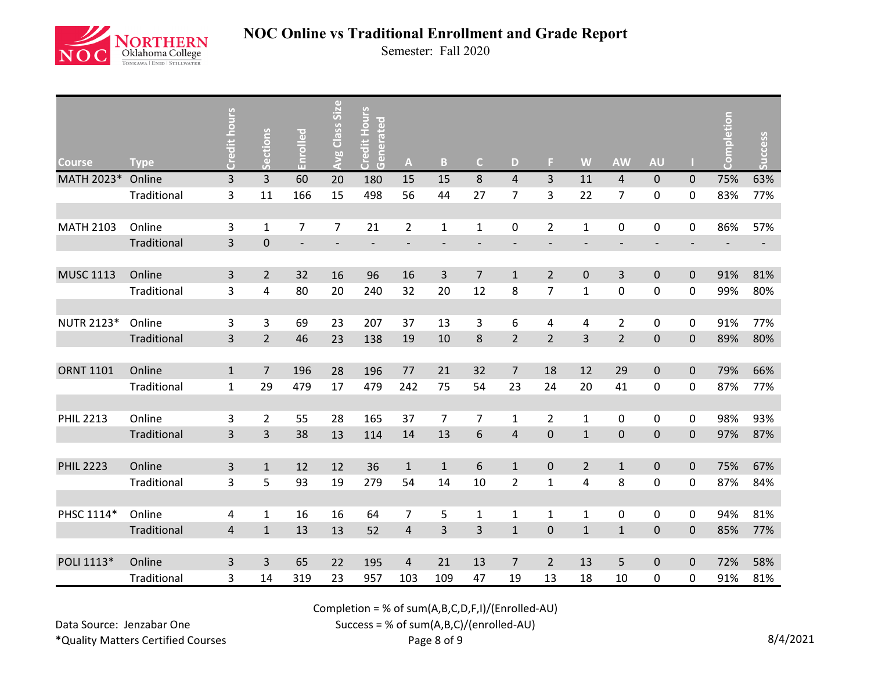

Semester: Fall 2020

| <b>Course</b>     | <b>Type</b> | Credit hours   | ections<br>$\mathcal{L}_{\mathbf{a}}$ | Enrolled       | <b>Avg Class Size</b> | <b>Credit Hours</b><br>Generated | $\mathbf{A}$             | B                 | $\mathsf{C}$     | D                        | F.                  | W              | <b>AW</b>                | <b>AU</b>                |             | npletion<br>S | Success                  |
|-------------------|-------------|----------------|---------------------------------------|----------------|-----------------------|----------------------------------|--------------------------|-------------------|------------------|--------------------------|---------------------|----------------|--------------------------|--------------------------|-------------|---------------|--------------------------|
| MATH 2023*        | Online      | $\overline{3}$ | 3                                     | 60             | 20                    | 180                              | 15                       | 15                | 8                | $\overline{4}$           | $\overline{3}$      | 11             | $\overline{4}$           | $\mathbf 0$              | $\mathbf 0$ | 75%           | 63%                      |
|                   | Traditional | 3              | 11                                    | 166            | 15                    | 498                              | 56                       | 44                | 27               | $\overline{7}$           | 3                   | 22             | $\overline{7}$           | 0                        | 0           | 83%           | 77%                      |
|                   |             |                |                                       |                |                       |                                  |                          |                   |                  |                          |                     |                |                          |                          |             |               |                          |
| <b>MATH 2103</b>  | Online      | 3              | $\mathbf{1}$                          | 7              | 7                     | 21                               | $\overline{2}$           | $\mathbf{1}$      | $\mathbf{1}$     | 0                        | $\overline{2}$      | $\mathbf{1}$   | $\pmb{0}$                | 0                        | 0           | 86%           | 57%                      |
|                   | Traditional | $\overline{3}$ | $\pmb{0}$                             | $\overline{a}$ |                       |                                  | $\overline{\phantom{a}}$ | $\qquad \qquad -$ |                  | $\overline{\phantom{a}}$ |                     |                | $\overline{\phantom{a}}$ | $\overline{\phantom{a}}$ |             |               | $\overline{\phantom{a}}$ |
|                   |             |                |                                       |                |                       |                                  |                          |                   |                  |                          |                     |                |                          |                          |             |               |                          |
| <b>MUSC 1113</b>  | Online      | 3              | $\overline{2}$                        | 32             | 16                    | 96                               | 16                       | 3                 | $\overline{7}$   | $\mathbf{1}$             | $\overline{2}$      | $\mathbf 0$    | 3                        | $\pmb{0}$                | $\pmb{0}$   | 91%           | 81%                      |
|                   | Traditional | 3              | 4                                     | 80             | 20                    | 240                              | 32                       | 20                | 12               | 8                        | $\overline{7}$      | $\mathbf{1}$   | $\pmb{0}$                | 0                        | 0           | 99%           | 80%                      |
|                   |             |                |                                       |                |                       |                                  |                          |                   |                  |                          |                     |                |                          |                          |             |               |                          |
| <b>NUTR 2123*</b> | Online      | 3              | 3                                     | 69             | 23                    | 207                              | 37                       | 13                | 3                | 6                        | 4                   | 4              | $\overline{2}$           | 0                        | 0           | 91%           | 77%                      |
|                   | Traditional | $\overline{3}$ | $\overline{2}$                        | 46             | 23                    | 138                              | 19                       | 10                | 8                | $\overline{2}$           | $\overline{2}$      | $\overline{3}$ | $\overline{2}$           | $\pmb{0}$                | $\mathbf 0$ | 89%           | 80%                      |
|                   |             |                |                                       |                |                       |                                  |                          |                   |                  |                          |                     |                |                          |                          |             |               |                          |
| <b>ORNT 1101</b>  | Online      | $\mathbf{1}$   | $\overline{7}$                        | 196            | 28                    | 196                              | 77                       | 21                | 32               | $\overline{7}$           | 18                  | 12             | 29                       | $\pmb{0}$                | $\mathbf 0$ | 79%           | 66%                      |
|                   | Traditional | $\mathbf{1}$   | 29                                    | 479            | 17                    | 479                              | 242                      | 75                | 54               | 23                       | 24                  | 20             | 41                       | 0                        | 0           | 87%           | 77%                      |
|                   |             |                |                                       |                |                       |                                  |                          |                   |                  |                          |                     |                |                          |                          |             |               |                          |
| <b>PHIL 2213</b>  | Online      | 3              | $\overline{2}$                        | 55             | 28                    | 165                              | 37                       | $\overline{7}$    | $\overline{7}$   | $\mathbf{1}$             | $\overline{2}$      | $\mathbf 1$    | $\pmb{0}$                | $\mathsf{O}$             | $\pmb{0}$   | 98%           | 93%                      |
|                   | Traditional | 3              | 3                                     | 38             | 13                    | 114                              | 14                       | 13                | $\boldsymbol{6}$ | $\overline{\mathbf{r}}$  | $\mathsf{O}\xspace$ | $\mathbf 1$    | $\pmb{0}$                | $\pmb{0}$                | $\pmb{0}$   | 97%           | 87%                      |
|                   |             |                |                                       |                |                       |                                  |                          |                   |                  |                          |                     |                |                          |                          |             |               |                          |
| <b>PHIL 2223</b>  | Online      | $\mathsf{3}$   | $\mathbf{1}$                          | 12             | 12                    | 36                               | $\mathbf 1$              | $\mathbf{1}$      | $\,$ 6 $\,$      | $\mathbf{1}$             | $\mathbf 0$         | $\overline{2}$ | $\mathbf 1$              | $\mathsf{O}\xspace$      | $\mathbf 0$ | 75%           | 67%                      |
|                   | Traditional | 3              | 5                                     | 93             | 19                    | 279                              | 54                       | 14                | 10               | $\overline{2}$           | $\mathbf{1}$        | 4              | 8                        | 0                        | 0           | 87%           | 84%                      |
|                   |             |                |                                       |                |                       |                                  |                          |                   |                  |                          |                     |                |                          |                          |             |               |                          |
| PHSC 1114*        | Online      | 4              | $\mathbf{1}$                          | 16             | 16                    | 64                               | 7                        | 5                 | $\mathbf{1}$     | 1                        | 1                   | 1              | $\mathbf 0$              | 0                        | 0           | 94%           | 81%                      |
|                   | Traditional | $\overline{4}$ | $\mathbf{1}$                          | 13             | 13                    | 52                               | $\overline{4}$           | 3                 | $\overline{3}$   | $\mathbf{1}$             | $\mathbf 0$         | $\mathbf{1}$   | $\mathbf{1}$             | $\pmb{0}$                | $\mathbf 0$ | 85%           | 77%                      |
|                   |             |                |                                       |                |                       |                                  |                          |                   |                  |                          |                     |                |                          |                          |             |               |                          |
| POLI 1113*        | Online      | 3              | 3                                     | 65             | 22                    | 195                              | $\overline{4}$           | 21                | 13               | $\overline{7}$           | $\overline{2}$      | 13             | 5                        | $\mathbf 0$              | $\pmb{0}$   | 72%           | 58%                      |
|                   | Traditional | 3              | 14                                    | 319            | 23                    | 957                              | 103                      | 109               | 47               | 19                       | 13                  | 18             | 10                       | 0                        | 0           | 91%           | 81%                      |

Completion = % of sum(A,B,C,D,F,I)/(Enrolled-AU)

Data Source: Jenzabar One \*Quality Matters Certified Courses